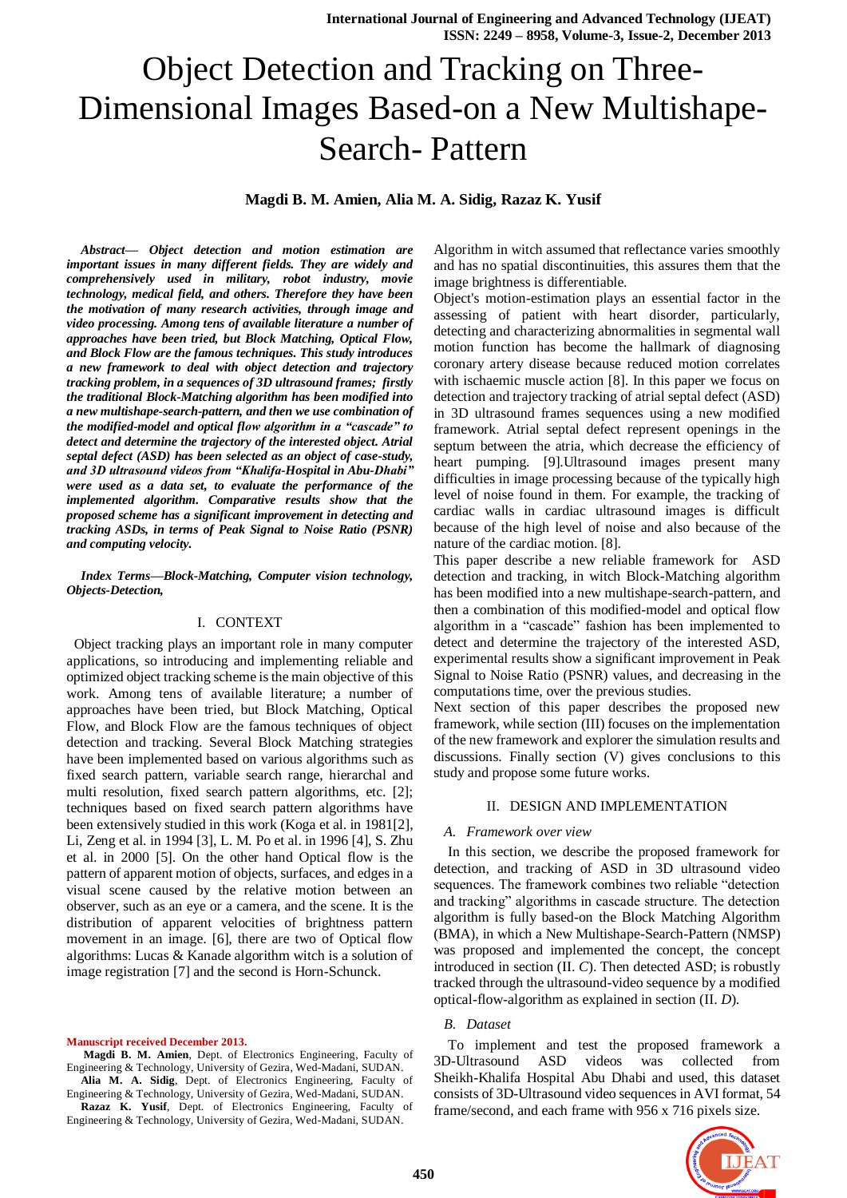# Object Detection and Tracking on Three-Dimensional Images Based-on a New Multishape-Search- Pattern

# **Magdi B. M. Amien, Alia M. A. Sidig, Razaz K. Yusif**

*Abstract***—** *Object detection and motion estimation are important issues in many different fields. They are widely and comprehensively used in military, robot industry, movie technology, medical field, and others. Therefore they have been the motivation of many research activities, through image and video processing. Among tens of available literature a number of approaches have been tried, but Block Matching, Optical Flow, and Block Flow are the famous techniques. This study introduces a new framework to deal with object detection and trajectory tracking problem, in a sequences of 3D ultrasound frames; firstly the traditional Block-Matching algorithm has been modified into a new multishape-search-pattern, and then we use combination of the modified-model and optical flow algorithm in a "cascade" to detect and determine the trajectory of the interested object. Atrial septal defect (ASD) has been selected as an object of case-study, and 3D ultrasound videos from "Khalifa-Hospital in Abu-Dhabi" were used as a data set, to evaluate the performance of the implemented algorithm. Comparative results show that the proposed scheme has a significant improvement in detecting and tracking ASDs, in terms of Peak Signal to Noise Ratio (PSNR) and computing velocity.*

*Index Terms***—***Block-Matching, Computer vision technology, Objects-Detection,*

# I. CONTEXT

 Object tracking plays an important role in many computer applications, so introducing and implementing reliable and optimized object tracking scheme is the main objective of this work. Among tens of available literature; a number of approaches have been tried, but Block Matching, Optical Flow, and Block Flow are the famous techniques of object detection and tracking. Several Block Matching strategies have been implemented based on various algorithms such as fixed search pattern, variable search range, hierarchal and multi resolution, fixed search pattern algorithms, etc. [2]; techniques based on fixed search pattern algorithms have been extensively studied in this work (Koga et al. in 1981[2], Li, Zeng et al. in 1994 [3], L. M. Po et al. in 1996 [4], S. Zhu et al. in 2000 [5]. On the other hand Optical flow is the pattern of apparent motion of objects, surfaces, and edges in a visual scene caused by the relative motion between an observer, such as an eye or a camera, and the scene. It is the distribution of apparent velocities of brightness pattern movement in an image. [6], there are two of Optical flow algorithms: Lucas & Kanade algorithm witch is a solution of image registration [7] and the second is Horn-Schunck.

**Manuscript received December 2013.**

**Magdi B. M. Amien**, Dept. of Electronics Engineering, Faculty of Engineering & Technology, University of Gezira, Wed-Madani, SUDAN.

**Alia M. A. Sidig**, Dept. of Electronics Engineering, Faculty of Engineering & Technology, University of Gezira, Wed-Madani, SUDAN. **Razaz K. Yusif**, Dept. of Electronics Engineering, Faculty of

Engineering & Technology, University of Gezira, Wed-Madani, SUDAN.

Algorithm in witch assumed that reflectance varies smoothly and has no spatial discontinuities, this assures them that the image brightness is differentiable.

Object's motion-estimation plays an essential factor in the assessing of patient with heart disorder, particularly, detecting and characterizing abnormalities in segmental wall motion function has become the hallmark of diagnosing coronary artery disease because reduced motion correlates with ischaemic muscle action [8]. In this paper we focus on detection and trajectory tracking of atrial septal defect (ASD) in 3D ultrasound frames sequences using a new modified framework. Atrial septal defect represent openings in the septum between the atria, which decrease the efficiency of heart pumping. [9].Ultrasound images present many difficulties in image processing because of the typically high level of noise found in them. For example, the tracking of cardiac walls in cardiac ultrasound images is difficult because of the high level of noise and also because of the nature of the cardiac motion. [8].

This paper describe a new reliable framework for ASD detection and tracking, in witch Block-Matching algorithm has been modified into a new multishape-search-pattern, and then a combination of this modified-model and optical flow algorithm in a "cascade" fashion has been implemented to detect and determine the trajectory of the interested ASD, experimental results show a significant improvement in Peak Signal to Noise Ratio (PSNR) values, and decreasing in the computations time, over the previous studies.

Next section of this paper describes the proposed new framework, while section (III) focuses on the implementation of the new framework and explorer the simulation results and discussions. Finally section (V) gives conclusions to this study and propose some future works.

#### II. DESIGN AND IMPLEMENTATION

## *A. Framework over view*

In this section, we describe the proposed framework for detection, and tracking of ASD in 3D ultrasound video sequences. The framework combines two reliable "detection and tracking" algorithms in cascade structure. The detection algorithm is fully based-on the Block Matching Algorithm (BMA), in which a New Multishape-Search-Pattern (NMSP) was proposed and implemented the concept, the concept introduced in section (II. *C*). Then detected ASD; is robustly tracked through the ultrasound-video sequence by a modified optical-flow-algorithm as explained in section (II. *D*).

# *B. Dataset*

To implement and test the proposed framework a 3D-Ultrasound ASD videos was collected from Sheikh-Khalifa Hospital Abu Dhabi and used, this dataset consists of 3D-Ultrasound video sequences in AVI format, 54 frame/second, and each frame with 956 x 716 pixels size.

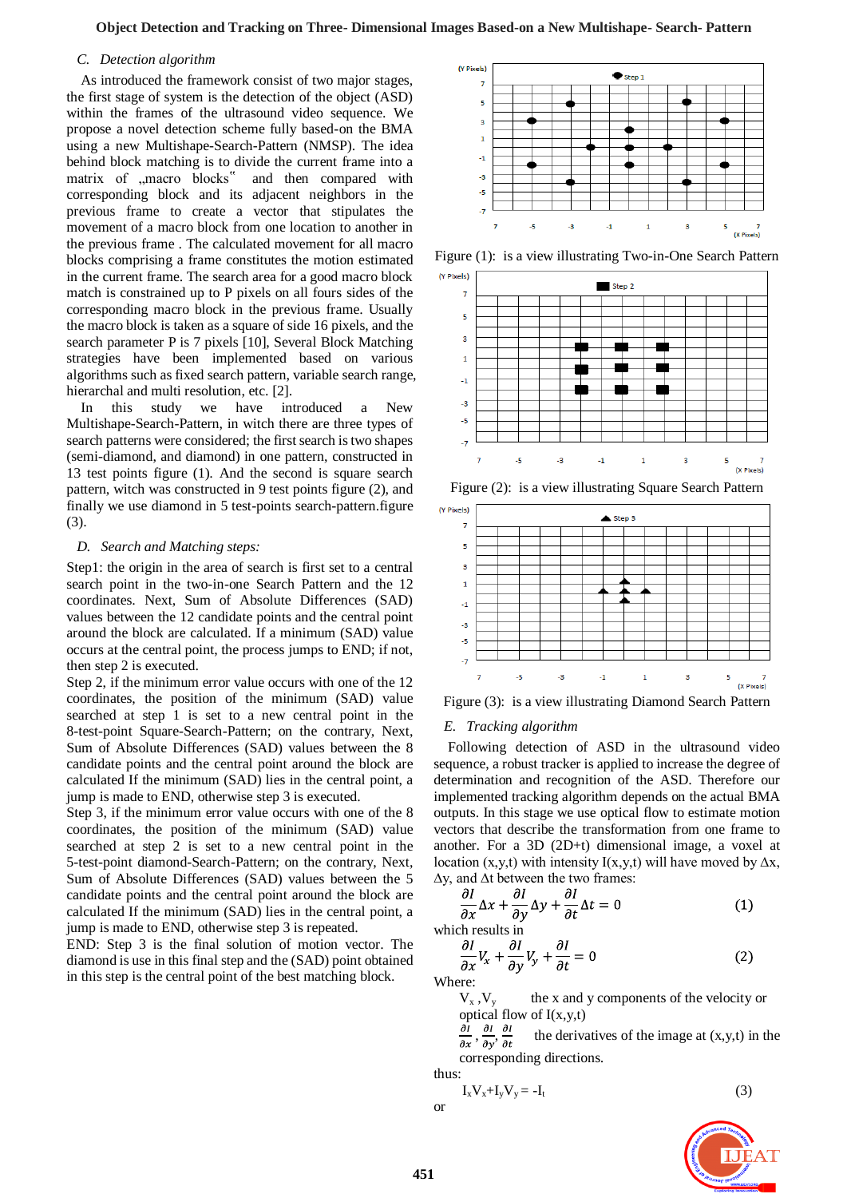#### *C. Detection algorithm*

As introduced the framework consist of two major stages, the first stage of system is the detection of the object (ASD) within the frames of the ultrasound video sequence. We propose a novel detection scheme fully based-on the BMA using a new Multishape-Search-Pattern (NMSP). The idea behind block matching is to divide the current frame into a matrix of "macro blocks" and then compared with corresponding block and its adjacent neighbors in the previous frame to create a vector that stipulates the movement of a macro block from one location to another in the previous frame . The calculated movement for all macro blocks comprising a frame constitutes the motion estimated in the current frame. The search area for a good macro block match is constrained up to P pixels on all fours sides of the corresponding macro block in the previous frame. Usually the macro block is taken as a square of side 16 pixels, and the search parameter P is 7 pixels [10], Several Block Matching strategies have been implemented based on various algorithms such as fixed search pattern, variable search range, hierarchal and multi resolution, etc. [2].

In this study we have introduced a New Multishape-Search-Pattern, in witch there are three types of search patterns were considered; the first search is two shapes (semi-diamond, and diamond) in one pattern, constructed in 13 test points figure (1). And the second is square search pattern, witch was constructed in 9 test points figure (2), and finally we use diamond in 5 test-points search-pattern.figure (3).

#### *D. Search and Matching steps:*

Step1: the origin in the area of search is first set to a central search point in the two-in-one Search Pattern and the 12 coordinates. Next, Sum of Absolute Differences (SAD) values between the 12 candidate points and the central point around the block are calculated. If a minimum (SAD) value occurs at the central point, the process jumps to END; if not, then step 2 is executed.

Step 2, if the minimum error value occurs with one of the 12 coordinates, the position of the minimum (SAD) value searched at step 1 is set to a new central point in the 8-test-point Square-Search-Pattern; on the contrary, Next, Sum of Absolute Differences (SAD) values between the 8 candidate points and the central point around the block are calculated If the minimum (SAD) lies in the central point, a jump is made to END, otherwise step 3 is executed.

Step 3, if the minimum error value occurs with one of the 8 coordinates, the position of the minimum (SAD) value searched at step 2 is set to a new central point in the 5-test-point diamond-Search-Pattern; on the contrary, Next, Sum of Absolute Differences (SAD) values between the 5 candidate points and the central point around the block are calculated If the minimum (SAD) lies in the central point, a jump is made to END, otherwise step 3 is repeated.

END: Step 3 is the final solution of motion vector. The diamond is use in this final step and the (SAD) point obtained in this step is the central point of the best matching block.



Figure (1): is a view illustrating Two-in-One Search Pattern



Figure (2): is a view illustrating Square Search Pattern



Figure (3): is a view illustrating Diamond Search Pattern

#### *E. Tracking algorithm*

Following detection of ASD in the ultrasound video sequence, a robust tracker is applied to increase the degree of determination and recognition of the ASD. Therefore our implemented tracking algorithm depends on the actual BMA outputs. In this stage we use optical flow to estimate [motion](http://en.wikipedia.org/wiki/Motion_vector)  [vectors](http://en.wikipedia.org/wiki/Motion_vector) that describe the transformation from one frame to another. For a 3D (2D+t) dimensional image, a voxel at location (x,y,t) with intensity I(x,y,t) will have moved by  $\Delta x$ , ∆y, and ∆t between the two frames:

$$
\frac{\partial I}{\partial x}\Delta x + \frac{\partial I}{\partial y}\Delta y + \frac{\partial I}{\partial t}\Delta t = 0
$$
 (1)

which results in

$$
\frac{\partial I}{\partial x}V_x + \frac{\partial I}{\partial y}V_y + \frac{\partial I}{\partial t} = 0
$$
 (2)

Where:

 $V_x$ ,  $V_y$  the x and y components of the velocity or optical flow of I(x,y,t)

 $\frac{\partial I}{\partial x}, \frac{\partial I}{\partial y}, \frac{\partial I}{\partial t}$  the derivatives of the image at (x,y,t) in the corresponding directions.

thus:  

$$
I_x V_x + I_y V_y = -I_t
$$
 (3)

or

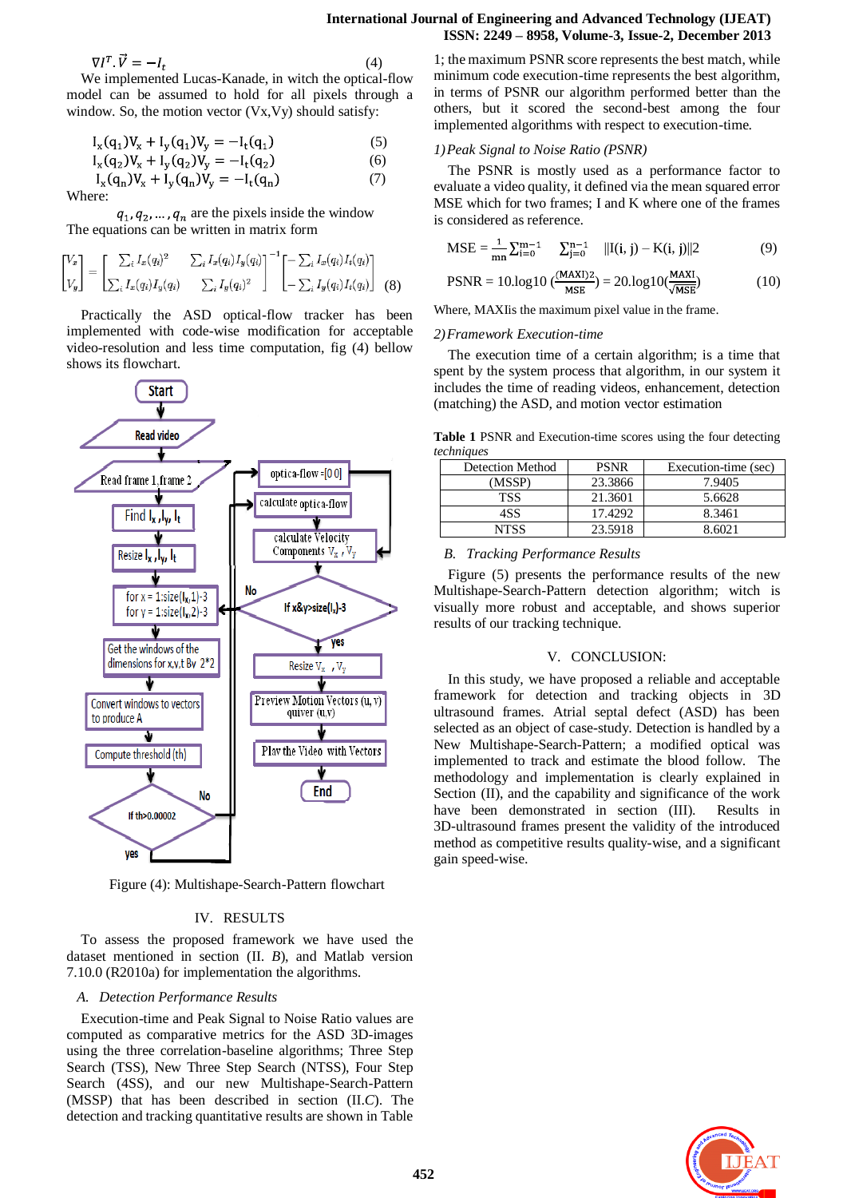#### **International Journal of Engineering and Advanced Technology (IJEAT) ISSN: 2249 – 8958, Volume-3, Issue-2, December 2013**

$$
\nabla I^T \cdot \vec{V} = -I_t \tag{4}
$$

We implemented Lucas-Kanade, in witch the optical-flow model can be assumed to hold for all pixels through a window. So, the motion vector (Vx,Vy) should satisfy:

$$
I_x(q_1)V_x + I_y(q_1)V_y = -I_t(q_1)
$$
 (5)

$$
I_x(q_2)V_x + I_y(q_2)V_y = -I_t(q_2)
$$
 (6)

$$
I_x(q_n)V_x + I_y(q_n)V_y = -I_t(q_n)
$$
\n(7)

 $q_1, q_2, \ldots, q_n$  are the pixels inside the window The equations can be written in [matrix](http://en.wikipedia.org/wiki/Matrix_%28mathematics%29) form

$$
\begin{bmatrix} V_x \\ V_y \end{bmatrix} = \begin{bmatrix} \sum_i I_x(q_i)^2 & \sum_i I_x(q_i) I_y(q_i) \\ \sum_i I_x(q_i) I_y(q_i) & \sum_i I_y(q_i)^2 \end{bmatrix}^{-1} \begin{bmatrix} -\sum_i I_x(q_i) I_t(q_i) \\ -\sum_i I_y(q_i) I_t(q_i) \end{bmatrix}
$$
(8)

Practically the ASD optical-flow tracker has been implemented with code-wise modification for acceptable video-resolution and less time computation, fig (4) bellow shows its flowchart.



Figure (4): Multishape-Search-Pattern flowchart

#### IV. RESULTS

To assess the proposed framework we have used the dataset mentioned in section (II. *B*), and Matlab version 7.10.0 (R2010a) for implementation the algorithms.

#### *A. Detection Performance Results*

Execution-time and Peak Signal to Noise Ratio values are computed as comparative metrics for the ASD 3D-images using the three correlation-baseline algorithms; Three Step Search (TSS), New Three Step Search (NTSS), Four Step Search (4SS), and our new Multishape-Search-Pattern (MSSP) that has been described in section (II.*C*). The detection and tracking quantitative results are shown in Table

1; the maximum PSNR score represents the best match, while minimum code execution-time represents the best algorithm, in terms of PSNR our algorithm performed better than the others, but it scored the second-best among the four implemented algorithms with respect to execution-time.

#### *1)Peak Signal to Noise Ratio (PSNR)*

The PSNR is mostly used as a performance factor to evaluate a video quality, it defined via the mean squared error MSE which for two frames; I and K where one of the frames is considered as reference.

$$
\text{MSE} = \frac{1}{mn} \sum_{i=0}^{m-1} \sum_{j=0}^{n-1} ||I(i, j) - K(i, j)||2 \tag{9}
$$

$$
PSNR = 10\log 10 \left( \frac{(MAXI)2}{MSE} \right) = 20\log 10 \left( \frac{MAXI}{\sqrt{MSE}} \right) \tag{10}
$$

Where, MAXIis the maximum pixel value in the frame.

# *2)Framework Execution-time*

The execution time of a certain algorithm; is a time that spent by the system process that algorithm, in our system it includes the time of reading videos, enhancement, detection (matching) the ASD, and motion vector estimation

**Table 1** PSNR and Execution-time scores using the four detecting *techniques*

| <b>Detection Method</b> | <b>PSNR</b> | Execution-time (sec) |
|-------------------------|-------------|----------------------|
| (MSSP)                  | 23.3866     | 7.9405               |
| <b>TSS</b>              | 21.3601     | 5.6628               |
| 4SS                     | 17.4292     | 8.3461               |
| NTSS                    | 23.5918     | 8.6021               |

#### *B. Tracking Performance Results*

Figure (5) presents the performance results of the new Multishape-Search-Pattern detection algorithm; witch is visually more robust and acceptable, and shows superior results of our tracking technique.

#### V. CONCLUSION:

In this study, we have proposed a reliable and acceptable framework for detection and tracking objects in 3D ultrasound frames. Atrial septal defect (ASD) has been selected as an object of case-study. Detection is handled by a New Multishape-Search-Pattern; a modified optical was implemented to track and estimate the blood follow. The methodology and implementation is clearly explained in Section (II), and the capability and significance of the work have been demonstrated in section (III). Results in 3D-ultrasound frames present the validity of the introduced method as competitive results quality-wise, and a significant gain speed-wise.